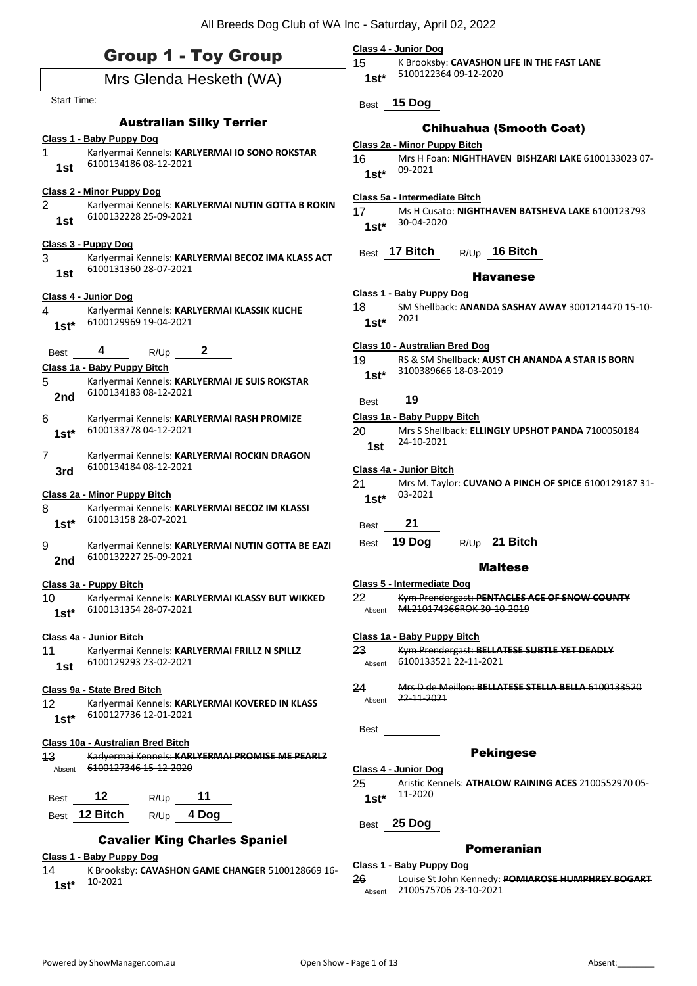| <b>Group 1 - Toy Group</b>                                                                                    | Class 4 - Junior Dog<br>15<br>K Brooksby: CAVASHON LIFE IN THE FAST LANE                                       |
|---------------------------------------------------------------------------------------------------------------|----------------------------------------------------------------------------------------------------------------|
| Mrs Glenda Hesketh (WA)                                                                                       | 5100122364 09-12-2020<br>$1st*$                                                                                |
| <b>Start Time:</b>                                                                                            | 15 Dog<br>Best                                                                                                 |
| <b>Australian Silky Terrier</b>                                                                               | <b>Chihuahua (Smooth Coat)</b>                                                                                 |
| Class 1 - Baby Puppy Dog                                                                                      |                                                                                                                |
| 1<br>Karlyermai Kennels: KARLYERMAI IO SONO ROKSTAR<br>6100134186 08-12-2021<br>1st                           | Class 2a - Minor Puppy Bitch<br>16<br>Mrs H Foan: NIGHTHAVEN BISHZARI LAKE 6100133023 07-<br>09-2021<br>$1st*$ |
| <b>Class 2 - Minor Puppy Dog</b>                                                                              | Class 5a - Intermediate Bitch                                                                                  |
| $\overline{2}$<br>Karlyermai Kennels: KARLYERMAI NUTIN GOTTA B ROKIN<br>6100132228 25-09-2021<br>1st          | 17<br>Ms H Cusato: NIGHTHAVEN BATSHEVA LAKE 6100123793<br>30-04-2020<br>$1st*$                                 |
| Class 3 - Puppy Dog                                                                                           |                                                                                                                |
| 3<br>Karlyermai Kennels: KARLYERMAI BECOZ IMA KLASS ACT<br>6100131360 28-07-2021<br>1st                       | Best 17 Bitch<br>$R/Up$ 16 Bitch<br><b>Havanese</b>                                                            |
|                                                                                                               | Class 1 - Baby Puppy Dog                                                                                       |
| Class 4 - Junior Dog<br>4<br>Karlyermai Kennels: KARLYERMAI KLASSIK KLICHE<br>6100129969 19-04-2021<br>$1st*$ | 18<br>SM Shellback: ANANDA SASHAY AWAY 3001214470 15-10-<br>2021<br>$1st*$                                     |
| $\mathbf{2}$<br>4<br>R/Up<br>Best                                                                             | <b>Class 10 - Australian Bred Dog</b>                                                                          |
| Class 1a - Baby Puppy Bitch                                                                                   | 19<br>RS & SM Shellback: AUST CH ANANDA A STAR IS BORN<br>3100389666 18-03-2019                                |
| 5<br>Karlyermai Kennels: KARLYERMAI JE SUIS ROKSTAR<br>6100134183 08-12-2021<br>2nd                           | $1st*$<br>19<br>Best                                                                                           |
| 6<br>Karlyermai Kennels: KARLYERMAI RASH PROMIZE<br>6100133778 04-12-2021<br>$1st*$                           | Class 1a - Baby Puppy Bitch<br>20<br>Mrs S Shellback: ELLINGLY UPSHOT PANDA 7100050184<br>24-10-2021<br>1st    |
| $\overline{7}$<br>Karlyermai Kennels: KARLYERMAI ROCKIN DRAGON<br>6100134184 08-12-2021<br>3rd                | Class 4a - Junior Bitch<br>21<br>Mrs M. Taylor: CUVANO A PINCH OF SPICE 6100129187 31-                         |
| Class 2a - Minor Puppy Bitch                                                                                  | 03-2021<br>$1st*$                                                                                              |
| 8<br>Karlyermai Kennels: KARLYERMAI BECOZ IM KLASSI<br>610013158 28-07-2021<br>$1st*$                         | 21<br><b>Best</b>                                                                                              |
| 9<br>Karlyermai Kennels: KARLYERMAI NUTIN GOTTA BE EAZI<br>6100132227 25-09-2021<br>2nd                       | 19 Dog<br>$R/Up$ 21 Bitch<br>Best                                                                              |
|                                                                                                               | <b>Maltese</b>                                                                                                 |
| Class 3a - Puppy Bitch<br>Karlyermai Kennels: KARLYERMAI KLASSY BUT WIKKED                                    | Class 5 - Intermediate Dog<br>Kym Prendergast: PENTACLES ACE OF SNOW COUNTY<br>22                              |
| 10<br>6100131354 28-07-2021<br>$1st*$                                                                         | ML210174366ROK 30 10 2019<br>Absent                                                                            |
| Class 4a - Junior Bitch                                                                                       | Class 1a - Baby Puppy Bitch                                                                                    |
| 11<br>Karlyermai Kennels: KARLYERMAI FRILLZ N SPILLZ<br>6100129293 23-02-2021<br>1st                          | 23<br>Kym Prendergast: BELLATESE SUBTLE YET DEADLY<br>6100133521 22 11 2021<br>Absent                          |
| Class 9a - State Bred Bitch                                                                                   | Mrs D de Meillon: BELLATESE STELLA BELLA 6100133520<br>24                                                      |
| $12 \overline{ }$<br>Karlyermai Kennels: KARLYERMAI KOVERED IN KLASS<br>6100127736 12-01-2021<br>$1st*$       | 22-11-2021<br>Absent                                                                                           |
|                                                                                                               | <b>Best</b>                                                                                                    |
| Class 10a - Australian Bred Bitch<br>43<br>Karlyermai Kennels: KARLYERMAI PROMISE ME PEARLZ                   | <b>Pekingese</b>                                                                                               |
| 6100127346 15-12-2020<br>Absent                                                                               | Class 4 - Junior Dog                                                                                           |
| 12<br>11<br>R/Up<br>Best                                                                                      | 25<br>Aristic Kennels: ATHALOW RAINING ACES 2100552970 05-<br>11-2020<br>$1st^*$                               |
| 12 Bitch<br>4 Dog<br>R/Up<br>Best                                                                             |                                                                                                                |
|                                                                                                               | 25 Dog<br>Best                                                                                                 |

## Cavalier King Charles Spaniel

## **Class 1 - Baby Puppy Dog**

14 K Brooksby: **CAVASHON GAME CHANGER** 5100128669 16- 10-2021 **1st\***

## **Class 1 - Baby Puppy Dog**

26 Louise St John Kennedy: **POMIAROSE HUMPHREY BOGART** Absent 2100575706 23-10-2021

Pomeranian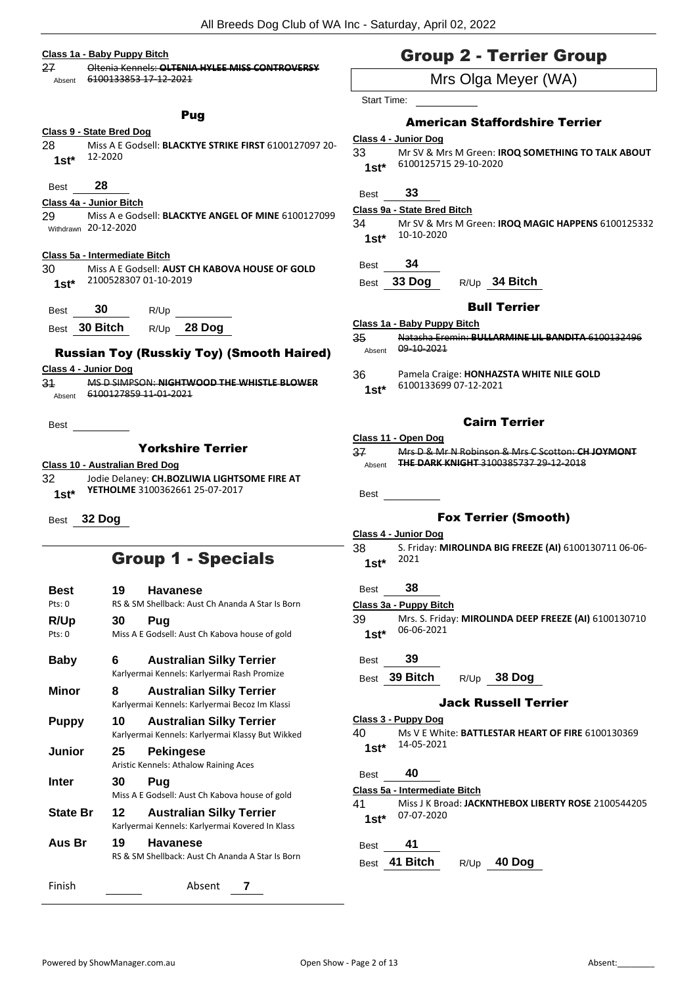## **Class 1a - Baby Puppy Bitch**

## 27 Oltenia Kennels: **OLTENIA HYLEE MISS CONTROVERSY**

Absent 6100133853 17 12 2021

Pug

## **Class 9 - State Bred Dog** 28 Miss A E Godsell: **BLACKTYE STRIKE FIRST** 6100127097 20- 12-2020 **1st\*** Best **28 Class 4a - Junior Bitch** 29 Miss A e Godsell: **BLACKTYE ANGEL OF MINE** 6100127099 Withdrawn 20-12-2020 **Class 5a - Intermediate Bitch** 30 Miss A E Godsell: **AUST CH KABOVA HOUSE OF GOLD** 2100528307 01-10-2019 **1st\*** Best **30** R/Up Best **30 Bitch** R/Up **28 Dog** Russian Toy (Russkiy Toy) (Smooth Haired) **Class 4 - Junior Dog** 31 MS D SIMPSON: **NIGHTWOOD THE WHISTLE BLOWER**

- Absent 6100127859 11-01-2021
- Best

## Yorkshire Terrier

## **Class 10 - Australian Bred Dog**

32 Jodie Delaney: **CH.BOZLIWIA LIGHTSOME FIRE AT YETHOLME** 3100362661 25-07-2017 **1st\***

Best **32 Dog**

## Group 1 - Specials

| Best            | 19 | <b>Havanese</b>                                                                    |
|-----------------|----|------------------------------------------------------------------------------------|
| Pts: 0          |    | RS & SM Shellback: Aust Ch Ananda A Star Is Born                                   |
| R/Up            | 30 | Pug                                                                                |
| Pts: 0          |    | Miss A E Godsell: Aust Ch Kabova house of gold                                     |
| <b>Baby</b>     | 6  | <b>Australian Silky Terrier</b><br>Karlyermai Kennels: Karlyermai Rash Promize     |
| Minor           | 8  | <b>Australian Silky Terrier</b><br>Karlyermai Kennels: Karlyermai Becoz Im Klassi  |
| Puppy           | 10 | <b>Australian Silky Terrier</b>                                                    |
|                 |    | Karlyermai Kennels: Karlyermai Klassy But Wikked                                   |
| <b>Junior</b>   | 25 | <b>Pekingese</b>                                                                   |
|                 |    | Aristic Kennels: Athalow Raining Aces                                              |
| Inter           | 30 | Pug                                                                                |
|                 |    | Miss A E Godsell: Aust Ch Kabova house of gold                                     |
| <b>State Br</b> | 12 | <b>Australian Silky Terrier</b><br>Karlyermai Kennels: Karlyermai Kovered In Klass |
| Aus Br          | 19 | Havanese                                                                           |
|                 |    | RS & SM Shellback: Aust Ch Ananda A Star Is Born                                   |
| Finish          |    | Absent                                                                             |

## Group 2 - Terrier Group

## Mrs Olga Meyer (WA)

Start Time:

## American Staffordshire Terrier

### **Class 4 - Junior Dog**

33 Mr SV & Mrs M Green: **IROQ SOMETHING TO TALK ABOUT** 6100125715 29-10-2020 **1st\***

Best **33**

## **Class 9a - State Bred Bitch**

34 Mr SV & Mrs M Green: **IROQ MAGIC HAPPENS** 6100125332 10-10-2020 **1st\***

Best **34**

Best **33 Dog** R/Up **34 Bitch**

## Bull Terrier

**Class 1a - Baby Puppy Bitch**

- 35 Natasha Eremin: **BULLARMINE LIL BANDITA** 6100132496 Absent 09-10-2021
- 36 Pamela Craige: **HONHAZSTA WHITE NILE GOLD** 6100133699 07-12-2021 **1st\***

## Cairn Terrier

#### **Class 11 - Open Dog**

37 Mrs D & Mr N Robinson & Mrs C Scotton: **CH JOYMONT**  Absent **THE DARK KNIGHT** 3100385737 29-12-2018

Best

## Fox Terrier (Smooth)

## **Class 4 - Junior Dog**

- 38 S. Friday: **MIROLINDA BIG FREEZE (AI)** 6100130711 06-06- <sup>2021</sup> **1st\***
- Best **38**
- **Class 3a - Puppy Bitch**
- 39 Mrs. S. Friday: **MIROLINDA DEEP FREEZE (AI)** 6100130710 06-06-2021 **1st\***
- Best **39**

Best **39 Bitch** R/Up **38 Dog**

## Jack Russell Terrier

## **Class 3 - Puppy Dog**

40 Ms V E White: **BATTLESTAR HEART OF FIRE** 6100130369 14-05-2021 **1st\***

Best **40**

**Class 5a - Intermediate Bitch**

41 Miss J K Broad: **JACKNTHEBOX LIBERTY ROSE** 2100544205 07-07-2020 **1st\***

Best **41** Best **41 Bitch** R/Up **40 Dog**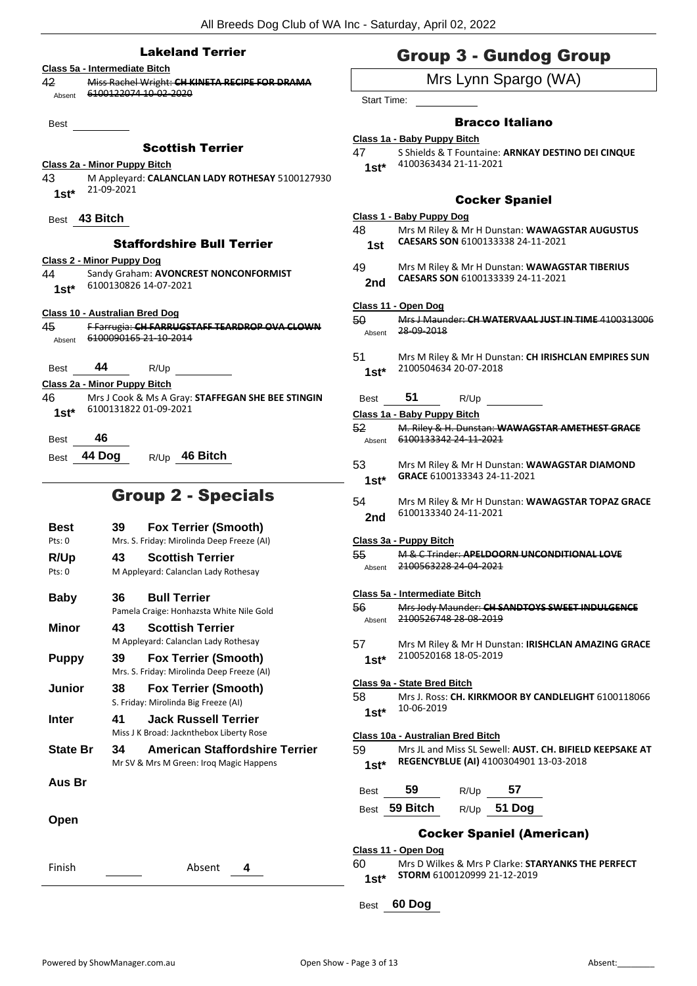|                 | <b>Lakeland Terrier</b>                                                         | <b>Group 3 - Gundog Group</b>                                  |                                                                            |
|-----------------|---------------------------------------------------------------------------------|----------------------------------------------------------------|----------------------------------------------------------------------------|
| 42              | Class 5a - Intermediate Bitch<br>Miss Rachel Wright: CH KINETA RECIPE FOR DRAMA |                                                                | Mrs Lynn Spargo (WA)                                                       |
| Absent          | 6100122074 10-02-2020                                                           | <b>Start Time:</b>                                             |                                                                            |
| <b>Best</b>     |                                                                                 |                                                                | <b>Bracco Italiano</b>                                                     |
|                 |                                                                                 |                                                                | Class 1a - Baby Puppy Bitch                                                |
|                 | <b>Scottish Terrier</b>                                                         | 47                                                             | S Shields & T Fountaine: ARNKAY DESTINO DEI CINQUE                         |
|                 | Class 2a - Minor Puppy Bitch                                                    | $1st*$                                                         | 4100363434 21-11-2021                                                      |
| 43              | M Appleyard: CALANCLAN LADY ROTHESAY 5100127930<br>21-09-2021                   |                                                                |                                                                            |
| $1st*$          |                                                                                 |                                                                | <b>Cocker Spaniel</b>                                                      |
| Best            | 43 Bitch                                                                        |                                                                | Class 1 - Baby Puppy Dog                                                   |
|                 |                                                                                 | 48                                                             | Mrs M Riley & Mr H Dunstan: WAWAGSTAR AUGUSTUS                             |
|                 | <b>Staffordshire Bull Terrier</b>                                               | 1st                                                            | CAESARS SON 6100133338 24-11-2021                                          |
|                 | Class 2 - Minor Puppy Dog                                                       | 49                                                             | Mrs M Riley & Mr H Dunstan: WAWAGSTAR TIBERIUS                             |
| 44              | Sandy Graham: AVONCREST NONCONFORMIST                                           | 2nd                                                            | CAESARS SON 6100133339 24-11-2021                                          |
| $1st*$          | 6100130826 14-07-2021                                                           |                                                                |                                                                            |
|                 |                                                                                 |                                                                | <u>Class 11 - Open Dog</u>                                                 |
| 45              | Class 10 - Australian Bred Dog<br>F Farrugia: CH FARRUGSTAFF TEARDROP OVA CLOWN | 50                                                             | Mrs J Maunder: CH WATERVAAL JUST IN TIME 4100313006                        |
| Absent          | 6100090165 21 10 2014                                                           | Absent                                                         | 28-09-2018                                                                 |
|                 |                                                                                 | 51                                                             | Mrs M Riley & Mr H Dunstan: CH IRISHCLAN EMPIRES SUN                       |
| Best            | 44<br>R/Up                                                                      | $1st*$                                                         | 2100504634 20-07-2018                                                      |
|                 | Class 2a - Minor Puppy Bitch                                                    |                                                                |                                                                            |
| 46              | Mrs J Cook & Ms A Gray: STAFFEGAN SHE BEE STINGIN                               | Best                                                           | 51<br>R/Up                                                                 |
| $1st*$          | 6100131822 01-09-2021                                                           |                                                                | Class 1a - Baby Puppy Bitch                                                |
|                 |                                                                                 | 52                                                             | M. Riley & H. Dunstan: WAWAGSTAR AMETHEST GRACE                            |
| Best            | 46                                                                              | Absent                                                         | 6100133342 24-11-2021                                                      |
| Best            | 44 Dog<br>R/Up 46 Bitch                                                         | 53                                                             | Mrs M Riley & Mr H Dunstan: WAWAGSTAR DIAMOND                              |
|                 |                                                                                 | $1st*$                                                         | GRACE 6100133343 24-11-2021                                                |
|                 | <b>Group 2 - Specials</b>                                                       |                                                                |                                                                            |
|                 |                                                                                 | 54                                                             | Mrs M Riley & Mr H Dunstan: WAWAGSTAR TOPAZ GRACE<br>6100133340 24-11-2021 |
| Best            | 39<br><b>Fox Terrier (Smooth)</b>                                               | 2nd                                                            |                                                                            |
| Pts: 0          | Mrs. S. Friday: Mirolinda Deep Freeze (AI)                                      |                                                                | Class 3a - Puppy Bitch                                                     |
| R/Up            | 43<br><b>Scottish Terrier</b>                                                   | 55                                                             | M & C Trinder: APELDOORN UNCONDITIONAL LOVE                                |
| Pts: U          | M Appleyard: Calanclan Lady Rothesay                                            | Absent                                                         | 2100563228 24 04 2021                                                      |
|                 |                                                                                 |                                                                |                                                                            |
| <b>Baby</b>     | <b>Bull Terrier</b><br>36                                                       |                                                                | Class 5a - Intermediate Bitch                                              |
|                 | Pamela Craige: Honhazsta White Nile Gold                                        | 56<br>Absent                                                   | Mrs Jody Maunder: CH SANDTOYS SWEET INDULGENCE<br>2100526748 28 08 2019    |
| Minor           | 43<br><b>Scottish Terrier</b>                                                   |                                                                |                                                                            |
|                 | M Appleyard: Calanclan Lady Rothesay                                            | 57                                                             | Mrs M Riley & Mr H Dunstan: IRISHCLAN AMAZING GRACE                        |
| <b>Puppy</b>    | 39<br><b>Fox Terrier (Smooth)</b><br>Mrs. S. Friday: Mirolinda Deep Freeze (AI) | $1st*$                                                         | 2100520168 18-05-2019                                                      |
| Junior          | 38<br><b>Fox Terrier (Smooth)</b>                                               |                                                                | Class 9a - State Bred Bitch                                                |
|                 | S. Friday: Mirolinda Big Freeze (AI)                                            | 58                                                             | Mrs J. Ross: CH. KIRKMOOR BY CANDLELIGHT 6100118066                        |
| <b>Inter</b>    | 41<br><b>Jack Russell Terrier</b>                                               | $1st*$                                                         | 10-06-2019                                                                 |
|                 | Miss J K Broad: Jacknthebox Liberty Rose                                        |                                                                | Class 10a - Australian Bred Bitch                                          |
| <b>State Br</b> | <b>American Staffordshire Terrier</b><br>34                                     | 59<br>Mrs JL and Miss SL Sewell: AUST. CH. BIFIELD KEEPSAKE AT |                                                                            |
|                 | Mr SV & Mrs M Green: Iroq Magic Happens                                         | $1st*$                                                         | REGENCYBLUE (AI) 4100304901 13-03-2018                                     |
| Aus Br          |                                                                                 |                                                                |                                                                            |
|                 |                                                                                 | Best                                                           | 59<br>57<br>R/Up                                                           |
|                 |                                                                                 |                                                                | Best 59 Bitch<br>51 Dog<br>R/Up                                            |
| Open            |                                                                                 |                                                                |                                                                            |

## Best **59** R/Up **57**

## Cocker Spaniel (American)

**Class 11 - Open Dog**

60 Mrs D Wilkes & Mrs P Clarke: **STARYANKS THE PERFECT STORM** 6100120999 21-12-2019 **1st\***

Best **60 Dog**

Finish Absent **4**

## - Gundog Group

## acco Italiano

## **Class 1a - Baby Puppy Bitch**

- ntaine: **ARNKAY DESTINO DEI CINQUE**
- 4100363434 21-11-2021 **1st\***

## **Cker Spaniel**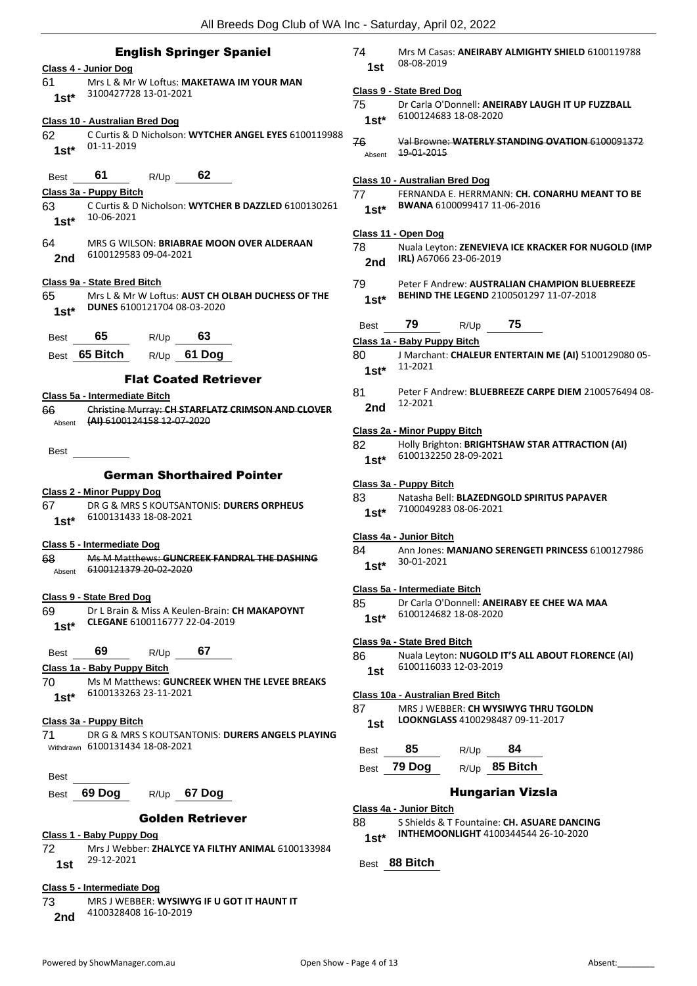## English Springer Spaniel

### **Class 4 - Junior Dog**

61 Mrs L & Mr W Loftus: **MAKETAWA IM YOUR MAN** 3100427728 13-01-2021 **1st\***

## **Class 10 - Australian Bred Dog**

62 C Curtis & D Nicholson: **WYTCHER ANGEL EYES** 6100119988 01-11-2019 **1st\***

## Best **61** R/Up **62**

#### **Class 3a - Puppy Bitch**

- 63 C Curtis & D Nicholson: **WYTCHER B DAZZLED** 6100130261 10-06-2021 **1st\***
- 64 MRS G WILSON: **BRIABRAE MOON OVER ALDERAAN** 6100129583 09-04-2021 **2nd**

#### **Class 9a - State Bred Bitch**

65 Mrs L & Mr W Loftus: **AUST CH OLBAH DUCHESS OF THE DUNES** 6100121704 08-03-2020 **1st\***

| Best | 65       | R/Up               | 63                   |
|------|----------|--------------------|----------------------|
| - -  | CE Ditah | $\sim$ $\mu$ $\mu$ | $64$ D <sub>22</sub> |

Best **65 Bitch** R/Up **61 Dog**

## Flat Coated Retriever

- **Class 5a - Intermediate Bitch**
- 66 Christine Murray: **CH STARFLATZ CRIMSON AND CLOVER**  Absent **(AI)** 6100124158 12-07-2020

Best

## German Shorthaired Pointer

## **Class 2 - Minor Puppy Dog**

67 DR G & MRS S KOUTSANTONIS: **DURERS ORPHEUS** 6100131433 18-08-2021 **1st\***

#### **Class 5 - Intermediate Dog**

68 Ms M Matthews: **GUNCREEK FANDRAL THE DASHING** Absent 6100121379 20-02-2020

#### **Class 9 - State Bred Dog**

- 69 Dr L Brain & Miss A Keulen-Brain: **CH MAKAPOYNT CLEGANE** 6100116777 22-04-2019 **1st\***
- Best **69** R/Up **67**
- **Class 1a - Baby Puppy Bitch**
- 70 Ms M Matthews: **GUNCREEK WHEN THE LEVEE BREAKS** 6100133263 23-11-2021 **1st\***

### **Class 3a - Puppy Bitch**

- 71 DR G & MRS S KOUTSANTONIS: **DURERS ANGELS PLAYING** Withdrawn 6100131434 18-08-2021
- Best

Best **69 Dog** R/Up **67 Dog**

#### Golden Retriever

#### **Class 1 - Baby Puppy Dog**

72 Mrs J Webber: **ZHALYCE YA FILTHY ANIMAL** 6100133984 29-12-2021 **1st**

## **Class 5 - Intermediate Dog**

73 MRS J WEBBER: **WYSIWYG IF U GOT IT HAUNT IT** 4100328408 16-10-2019 **2nd**

74 Mrs M Casas: **ANEIRABY ALMIGHTY SHIELD** 6100119788 08-08-2019 **1st**

### **Class 9 - State Bred Dog**

- 75 Dr Carla O'Donnell: **ANEIRABY LAUGH IT UP FUZZBALL** 6100124683 18-08-2020 **1st\***
- 76 Val Browne: **WATERLY STANDING OVATION** 6100091372 Absent 19-01-2015

#### **Class 10 - Australian Bred Dog**

77 FERNANDA E. HERRMANN: **CH. CONARHU MEANT TO BE BWANA** 6100099417 11-06-2016 **1st\***

#### **Class 11 - Open Dog**

78 Nuala Leyton: **ZENEVIEVA ICE KRACKER FOR NUGOLD (IMP IRL)** A67066 23-06-2019 **2nd**

- 79 Peter F Andrew: **AUSTRALIAN CHAMPION BLUEBREEZE BEHIND THE LEGEND** 2100501297 11-07-2018 **1st\***
- Best **79** R/Up **75**
- **Class 1a - Baby Puppy Bitch**
- 80 J Marchant: **CHALEUR ENTERTAIN ME (AI)** 5100129080 05- 1st\*  $11-2021$
- 81 Peter F Andrew: **BLUEBREEZE CARPE DIEM** 2100576494 08- 12-2021 **2nd**

### **Class 2a - Minor Puppy Bitch**

82 Holly Brighton: **BRIGHTSHAW STAR ATTRACTION (AI)** 6100132250 28-09-2021 **1st\***

#### **Class 3a - Puppy Bitch**

83 Natasha Bell: **BLAZEDNGOLD SPIRITUS PAPAVER** 7100049283 08-06-2021 **1st\***

#### **Class 4a - Junior Bitch**

84 Ann Jones: **MANJANO SERENGETI PRINCESS** 6100127986 30-01-2021 **1st\***

#### **Class 5a - Intermediate Bitch**

85 Dr Carla O'Donnell: **ANEIRABY EE CHEE WA MAA** 6100124682 18-08-2020 **1st\***

#### **Class 9a - State Bred Bitch**

86 Nuala Leyton: **NUGOLD IT'S ALL ABOUT FLORENCE (AI)** 6100116033 12-03-2019 **1st**

### **Class 10a - Australian Bred Bitch**

- 87 MRS J WEBBER: **CH WYSIWYG THRU TGOLDN**
- **LOOKNGLASS** 4100298487 09-11-2017 **1st**

| <b>Best</b> | 85          | R/Up | -84             |
|-------------|-------------|------|-----------------|
|             | Best 79 Dog |      | $R/Up$ 85 Bitch |

#### Hungarian Vizsla

- **Class 4a - Junior Bitch**
- 88 S Shields & T Fountaine: **CH. ASUARE DANCING INTHEMOONLIGHT** 4100344544 26-10-2020 **1st\***

Best **88 Bitch**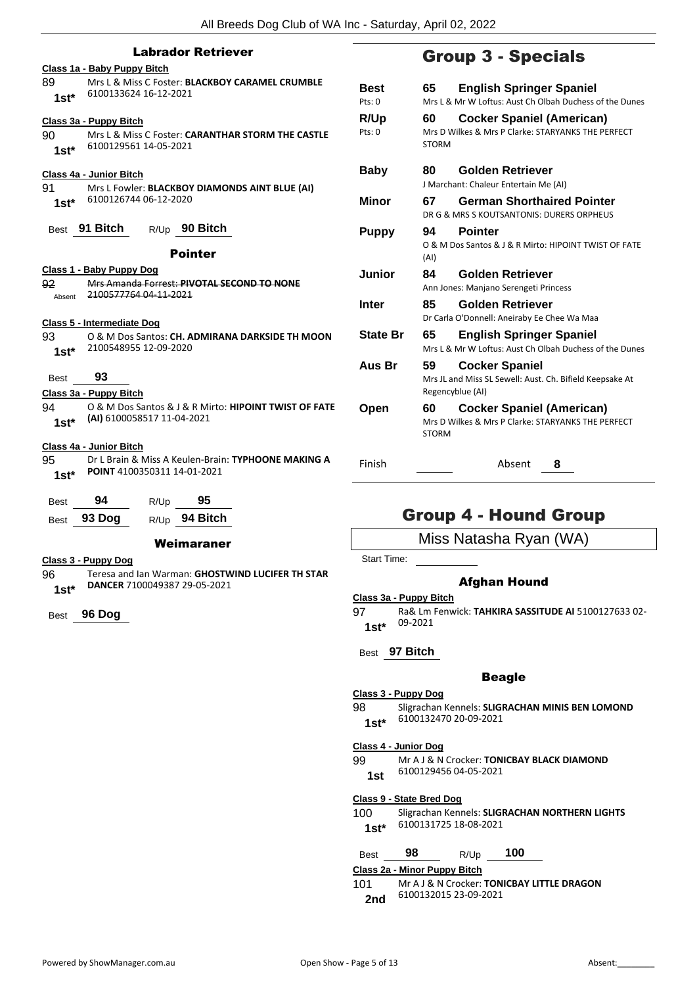## Labrador Retriever

**Class 1a - Baby Puppy Bitch** 89 Mrs L & Miss C Foster: **BLACKBOY CARAMEL CRUMBLE** 6100133624 16-12-2021 **1st\* Class 3a - Puppy Bitch** 90 Mrs L & Miss C Foster: **CARANTHAR STORM THE CASTLE** 6100129561 14-05-2021 **1st\* Class 4a - Junior Bitch** 91 Mrs L Fowler: **BLACKBOY DIAMONDS AINT BLUE (AI)** 6100126744 06-12-2020 **1st\*** Best **91 Bitch** R/Up **90 Bitch** Pointer **Class 1 - Baby Puppy Dog** 92 Mrs Amanda Forrest: **PIVOTAL SECOND TO NONE** Absent 2100577764 04-11-2021 **Class 5 - Intermediate Dog** 93 O & M Dos Santos: **CH. ADMIRANA DARKSIDE TH MOON** 2100548955 12-09-2020 **1st\*** Best **93 Class 3a - Puppy Bitch** 94 O & M Dos Santos & J & R Mirto: **HIPOINT TWIST OF FATE (AI)** 6100058517 11-04-2021 **1st\***

## **Class 4a - Junior Bitch**

95 Dr L Brain & Miss A Keulen-Brain: **TYPHOONE MAKING A POINT** 4100350311 14-01-2021 **1st\***

| Best | 94     | R/Up | 95            |
|------|--------|------|---------------|
| Best | 93 Dog |      | R/Up 94 Bitch |

#### Weimaraner

**Class 3 - Puppy Dog**

96 Teresa and Ian Warman: **GHOSTWIND LUCIFER TH STAR DANCER** 7100049387 29-05-2021 **1st\***

Best **96 Dog**

## Group 3 - Specials

| Best<br>$P$ ts: $\Omega$ | 65                 | <b>English Springer Spaniel</b><br>Mrs L & Mr W Loftus: Aust Ch Olbah Duchess of the Dunes            |
|--------------------------|--------------------|-------------------------------------------------------------------------------------------------------|
| R/Up<br>Pts: 0           | 60<br><b>STORM</b> | <b>Cocker Spaniel (American)</b><br>Mrs D Wilkes & Mrs P Clarke: STARYANKS THE PERFECT                |
| Baby                     | 80.                | Golden Retriever<br>J Marchant: Chaleur Entertain Me (AI)                                             |
| Minor                    | 67                 | <b>German Shorthaired Pointer</b><br>DR G & MRS S KOUTSANTONIS: DURERS ORPHEUS                        |
| <b>Puppy</b>             | 94<br>(AI)         | <b>Pointer</b><br>O & M Dos Santos & J & R Mirto: HIPOINT TWIST OF FATE                               |
| Junior                   | 84                 | Golden Retriever<br>Ann Jones: Manjano Serengeti Princess                                             |
| Inter                    | 85                 | Golden Retriever<br>Dr Carla O'Donnell: Aneiraby Ee Chee Wa Maa                                       |
| <b>State Br</b>          | 65                 | <b>English Springer Spaniel</b><br>Mrs L & Mr W Loftus: Aust Ch Olbah Duchess of the Dunes            |
| Aus Br                   | 59                 | <b>Cocker Spaniel</b><br>Mrs JL and Miss SL Sewell: Aust. Ch. Bifield Keepsake At<br>Regencyblue (AI) |
| Open                     | 60<br><b>STORM</b> | <b>Cocker Spaniel (American)</b><br>Mrs D Wilkes & Mrs P Clarke: STARYANKS THE PERFECT                |
| Finish                   |                    | Absent<br>8                                                                                           |

## Group 4 - Hound Group

## Miss Natasha Ryan (WA)

Start Time:

## Afghan Hound

## **Class 3a - Puppy Bitch**

97 Ra& Lm Fenwick: **TAHKIRA SASSITUDE AI** 5100127633 02- 09-2021 **1st\***

Best **97 Bitch**

## Beagle

## **Class 3 - Puppy Dog**

98 Sligrachan Kennels: **SLIGRACHAN MINIS BEN LOMOND** 6100132470 20-09-2021 **1st\***

## **Class 4 - Junior Dog**

99 Mr A J & N Crocker: **TONICBAY BLACK DIAMOND** 6100129456 04-05-2021 **1st**

## **Class 9 - State Bred Dog**

100 Sligrachan Kennels: **SLIGRACHAN NORTHERN LIGHTS** 6100131725 18-08-2021 **1st\***

## Best **98** R/Up **100**

## **Class 2a - Minor Puppy Bitch**

101 Mr A J & N Crocker: **TONICBAY LITTLE DRAGON** 6100132015 23-09-2021 **2nd**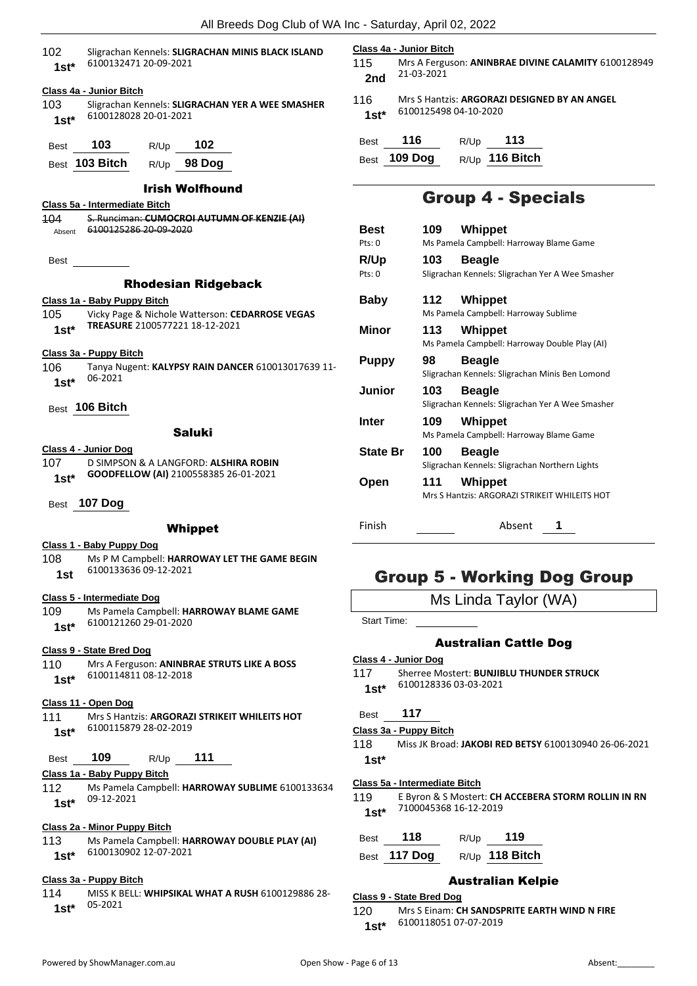|                  |                                 |                                                                                           | <u>All Diceas Duy Olub UL MA ING</u> |                                   |
|------------------|---------------------------------|-------------------------------------------------------------------------------------------|--------------------------------------|-----------------------------------|
| 102 —<br>$1st^*$ |                                 | Sligrachan Kennels: SLIGRACHAN MINIS BLACK ISLAND<br>6100132471 20-09-2021                |                                      | <u>CI</u><br>$1^{\circ}$          |
|                  | Class 4a - Junior Bitch         |                                                                                           |                                      |                                   |
| $1st^*$          |                                 | 103 Sligrachan Kennels: SLIGRACHAN YER A WEE SMASHER<br>6100128028 20-01-2021             |                                      | $1^{\circ}$                       |
|                  | 103                             | R/Up 102                                                                                  |                                      |                                   |
| <b>Best</b>      |                                 | Best 103 Bitch R/Up 98 Dog                                                                |                                      |                                   |
|                  |                                 |                                                                                           |                                      |                                   |
|                  | Class 5a - Intermediate Bitch   | <b>Irish Wolfhound</b>                                                                    |                                      |                                   |
| 104              | Absent 6100125286 20-09-2020    | S. Runciman: CUMOCROI AUTUMN OF KENZIE (AI)                                               |                                      |                                   |
| <b>Best</b>      |                                 |                                                                                           |                                      |                                   |
|                  |                                 | <b>Rhodesian Ridgeback</b>                                                                |                                      |                                   |
|                  | Class 1a - Baby Puppy Bitch     |                                                                                           |                                      |                                   |
| 105.<br>$1st^*$  |                                 | Vicky Page & Nichole Watterson: CEDARROSE VEGAS<br>TREASURE 2100577221 18-12-2021         |                                      |                                   |
|                  | Class 3a - Puppy Bitch          |                                                                                           |                                      |                                   |
| 106<br>$1st^*$   | 06-2021                         | Tanya Nugent: KALYPSY RAIN DANCER 610013017639 11-                                        |                                      |                                   |
|                  | Best 106 Bitch                  |                                                                                           |                                      |                                   |
|                  |                                 | <b>Saluki</b>                                                                             |                                      |                                   |
|                  | Class 4 - Junior Dog            |                                                                                           |                                      |                                   |
| $1st^*$          |                                 | 107 D SIMPSON & A LANGFORD: <b>ALSHIRA ROBIN</b><br>GOODFELLOW (AI) 2100558385 26-01-2021 |                                      |                                   |
| Best             | 107 Dog                         |                                                                                           |                                      |                                   |
|                  |                                 | <b>Whippet</b>                                                                            |                                      |                                   |
|                  | Class 1 - Baby Puppy Dog        |                                                                                           |                                      |                                   |
| 108<br>1st       |                                 | Ms P M Campbell: HARROWAY LET THE GAME BEGIN<br>6100133636 09-12-2021                     |                                      |                                   |
|                  | Class 5 - Intermediate Dog      |                                                                                           |                                      |                                   |
| 109<br>$1st^*$   |                                 | Ms Pamela Campbell: HARROWAY BLAME GAME<br>6100121260 29-01-2020                          |                                      |                                   |
|                  | <b>Class 9 - State Bred Dog</b> |                                                                                           |                                      |                                   |
| 110<br>$1st*$    |                                 | Mrs A Ferguson: ANINBRAE STRUTS LIKE A BOSS<br>6100114811 08-12-2018                      |                                      | <u>CI</u><br>$\ddot{\phantom{1}}$ |
|                  | Class 11 - Open Dog             |                                                                                           |                                      |                                   |
| 111<br>1st*      |                                 | Mrs S Hantzis: ARGORAZI STRIKEIT WHILEITS HOT<br>6100115879 28-02-2019                    |                                      | CI                                |

| <b>Best</b> | 109 | R/Up | 111 |
|-------------|-----|------|-----|
|             |     |      |     |

**Class 1a - Baby Puppy Bitch** 112 Ms Pamela Campbell: **HARROWAY SUBLIME** 6100133634 09-12-2021 **1st\***

## **Class 2a - Minor Puppy Bitch**

113 Ms Pamela Campbell: **HARROWAY DOUBLE PLAY (AI)** 6100130902 12-07-2021 **1st\***

### **Class 3a - Puppy Bitch**

114 MISS K BELL: **WHIPSIKAL WHAT A RUSH** 6100129886 28- 05-2021 **1st\***

#### **Class 4a - Junior Bitch**

- 115 Mrs A Ferguson: **ANINBRAE DIVINE CALAMITY** 6100128949 21-03-2021 **2nd**
- 116 Mrs S Hantzis: **ARGORAZI DESIGNED BY AN ANGEL** 6100125498 04-10-2020 **1st\***

| <b>Best</b> | 116       | R/Up | 113              |
|-------------|-----------|------|------------------|
| Best        | $109$ Dog |      | $R/Up$ 116 Bitch |

## Group 4 - Specials

| 109 | Whippet                                          |
|-----|--------------------------------------------------|
|     | Ms Pamela Campbell: Harroway Blame Game          |
| 103 | <b>Beagle</b>                                    |
|     | Sligrachan Kennels: Sligrachan Yer A Wee Smasher |
| 112 | Whippet                                          |
|     | Ms Pamela Campbell: Harroway Sublime             |
| 113 | Whippet                                          |
|     | Ms Pamela Campbell: Harroway Double Play (AI)    |
| 98  | <b>Beagle</b>                                    |
|     | Sligrachan Kennels: Sligrachan Minis Ben Lomond  |
| 103 | <b>Beagle</b>                                    |
|     | Sligrachan Kennels: Sligrachan Yer A Wee Smasher |
| 109 | Whippet                                          |
|     | Ms Pamela Campbell: Harroway Blame Game          |
| 100 | <b>Beagle</b>                                    |
|     | Sligrachan Kennels: Sligrachan Northern Lights   |
| 111 | Whippet                                          |
|     | Mrs S Hantzis: ARGORAZI STRIKEIT WHILEITS HOT    |
|     | Absent<br>1                                      |
|     |                                                  |

## Group 5 - Working Dog Group

|  |  |  | Ms Linda Taylor (WA) |  |
|--|--|--|----------------------|--|
|--|--|--|----------------------|--|

Start Time:

## Australian Cattle Dog

## **Class 4 - Junior Dog**

117 Sherree Mostert: **BUNJIBLU THUNDER STRUCK** 6100128336 03-03-2021 **1st\***

## Best **117**

## **Class 3a - Puppy Bitch**

118 Miss JK Broad: **JAKOBI RED BETSY** 6100130940 26-06-2021 **1st\***

## **Class 5a - Intermediate Bitch**

119 E Byron & S Mostert: **CH ACCEBERA STORM ROLLIN IN RN** 7100045368 16-12-2019 **1st\***

| <b>Best</b> | 118 | R/Up | 119 |
|-------------|-----|------|-----|
|             |     |      |     |

| Best 117 Dog | R/Up 118 Bitch |
|--------------|----------------|
|              |                |

## Australian Kelpie

#### **Class 9 - State Bred Dog**

120 Mrs S Einam: **CH SANDSPRITE EARTH WIND N FIRE** 6100118051 07-07-2019 **1st\***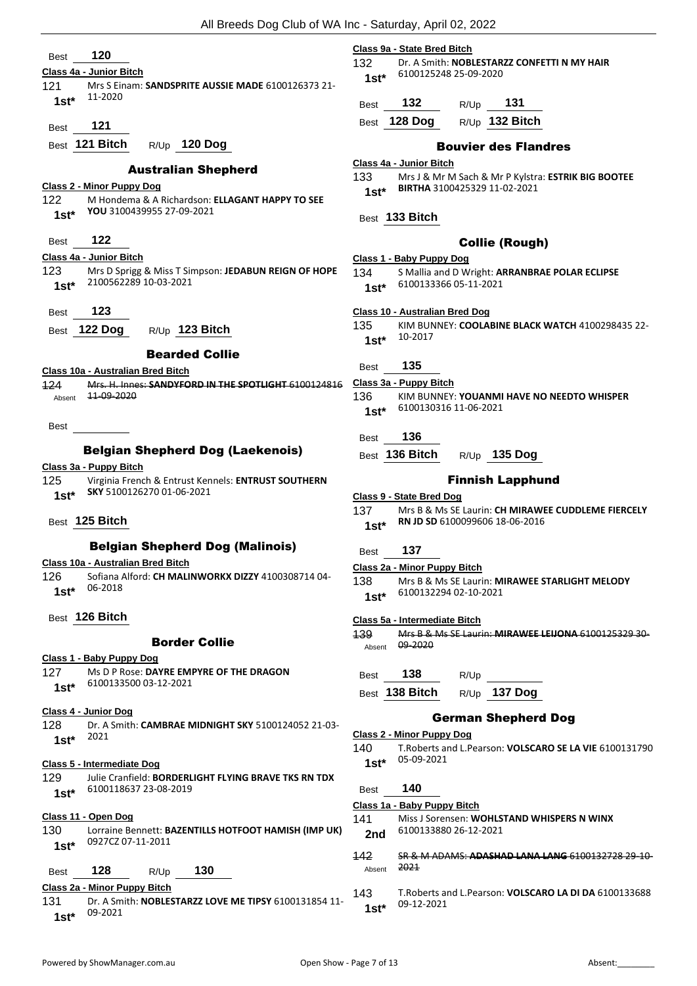| Best        | 120                                                                                |  |
|-------------|------------------------------------------------------------------------------------|--|
|             | Class 4a - Junior Bitch                                                            |  |
|             | 121 Mrs S Einam: SANDSPRITE AUSSIE MADE 6100126373 21-                             |  |
| 1st*        | 11-2020                                                                            |  |
|             |                                                                                    |  |
| Best        | -- 121                                                                             |  |
|             | Best 121 Bitch R/Up 120 Dog                                                        |  |
|             | <b>Australian Shepherd</b>                                                         |  |
|             | <b>Class 2 - Minor Puppy Dog</b>                                                   |  |
| 122 —       | M Hondema & A Richardson: ELLAGANT HAPPY TO SEE                                    |  |
| $1st^*$     | YOU 3100439955 27-09-2021                                                          |  |
| Best        | - 122                                                                              |  |
|             | Class 4a - Junior Bitch                                                            |  |
| 123 -       | Mrs D Sprigg & Miss T Simpson: JEDABUN REIGN OF HOPE                               |  |
| $1st^*$     | 2100562289 10-03-2021                                                              |  |
|             |                                                                                    |  |
| <b>Best</b> | 123                                                                                |  |
|             | Best 122 Dog<br>$R/Up$ 123 Bitch                                                   |  |
|             | <b>Bearded Collie</b>                                                              |  |
|             | Class 10a - Australian Bred Bitch                                                  |  |
|             | 124 Mrs. H. Innes: SANDYFORD IN THE SPOTLIGHT 6100124816                           |  |
|             | Absent 11-09-2020                                                                  |  |
| Best        |                                                                                    |  |
|             |                                                                                    |  |
|             | <b>Belgian Shepherd Dog (Laekenois)</b><br>Class 3a - Puppy Bitch                  |  |
| 125         | Virginia French & Entrust Kennels: ENTRUST SOUTHERN                                |  |
| $1st^*$     | SKY 5100126270 01-06-2021                                                          |  |
|             |                                                                                    |  |
|             | Best 125 Bitch                                                                     |  |
|             | <b>Belgian Shepherd Dog (Malinois)</b>                                             |  |
|             | Class 10a - Australian Bred Bitch                                                  |  |
| 126.        | Sofiana Alford: CH MALINWORKX DIZZY 4100308714 04-<br>06-2018                      |  |
| $1st^*$     |                                                                                    |  |
|             | Best 126 Bitch                                                                     |  |
|             | <b>Border Collie</b>                                                               |  |
|             | Class 1 - Baby Puppy Dog                                                           |  |
| 127 -       | Ms D P Rose: DAYRE EMPYRE OF THE DRAGON                                            |  |
| $1st^*$     | 6100133500 03-12-2021                                                              |  |
|             | Class 4 - Junior Dog                                                               |  |
|             |                                                                                    |  |
|             | Dr. A Smith: CAMBRAE MIDNIGHT SKY 5100124052 21-03-                                |  |
| 128.        | 2021                                                                               |  |
| 1st*        |                                                                                    |  |
| 129.        | Class 5 - Intermediate Dog<br>Julie Cranfield: BORDERLIGHT FLYING BRAVE TKS RN TDX |  |

6100118637 23-08-2019 **1st\***

## **Class 11 - Open Dog**

130 Lorraine Bennett: **BAZENTILLS HOTFOOT HAMISH (IMP UK)** 0927CZ 07-11-2011 **1st\***

Best **128** R/Up **130**

## **Class 2a - Minor Puppy Bitch**

131 Dr. A Smith: **NOBLESTARZZ LOVE ME TIPSY** 6100131854 11- 09-2021 **1st\***

#### **Class 9a - State Bred Bitch**

132 Dr. A Smith: **NOBLESTARZZ CONFETTI N MY HAIR** 6100125248 25-09-2020 **1st\***

| <b>Best</b> | 132 | R/Up | 131                                |  |
|-------------|-----|------|------------------------------------|--|
|             | .   |      | $\sim$ $\sim$ $\sim$ $\sim$ $\sim$ |  |

## Best **128 Dog** R/Up **132 Bitch**

## Bouvier des Flandres

#### **Class 4a - Junior Bitch**

133 Mrs J & Mr M Sach & Mr P Kylstra: **ESTRIK BIG BOOTEE BIRTHA** 3100425329 11-02-2021 **1st\***

Best **133 Bitch**

## Collie (Rough)

- **Class 1 - Baby Puppy Dog**
- 134 S Mallia and D Wright: **ARRANBRAE POLAR ECLIPSE** 6100133366 05-11-2021 **1st\***

#### **Class 10 - Australian Bred Dog**

135 KIM BUNNEY: **COOLABINE BLACK WATCH** 4100298435 22- 1st\*

Best **135**

#### **Class 3a - Puppy Bitch**

```
136 KIM BUNNEY: YOUANMI HAVE NO NEEDTO WHISPER
6100130316 11-06-2021 1st*
```
## Best **136**

Best **136 Bitch** R/Up **135 Dog**

## Finnish Lapphund

### **Class 9 - State Bred Dog**

137 Mrs B & Ms SE Laurin: **CH MIRAWEE CUDDLEME FIERCELY RN JD SD** 6100099606 18-06-2016 **1st\***

## Best **137**

#### **Class 2a - Minor Puppy Bitch**

138 Mrs B & Ms SE Laurin: **MIRAWEE STARLIGHT MELODY** 6100132294 02-10-2021 **1st\***

### **Class 5a - Intermediate Bitch**

139 Mrs B & Ms SE Laurin: **MIRAWEE LEIJONA** 6100125329 30- Absent 09-2020

- Best **138** R/Up
- Best **138 Bitch** R/Up **137 Dog**

#### German Shepherd Dog

#### **Class 2 - Minor Puppy Dog**

- 140 T.Roberts and L.Pearson: **VOLSCARO SE LA VIE** 6100131790 05-09-2021 **1st\***
- Best **140**

## **Class 1a - Baby Puppy Bitch**

141 Miss J Sorensen: **WOHLSTAND WHISPERS N WINX** 6100133880 26-12-2021 **2nd**

## 142 SR & M ADAMS: **ADASHAD LANA LANG** 6100132728 29-10- Absent 2021

143 T.Roberts and L.Pearson: **VOLSCARO LA DI DA** 6100133688 09-12-2021 **1st\***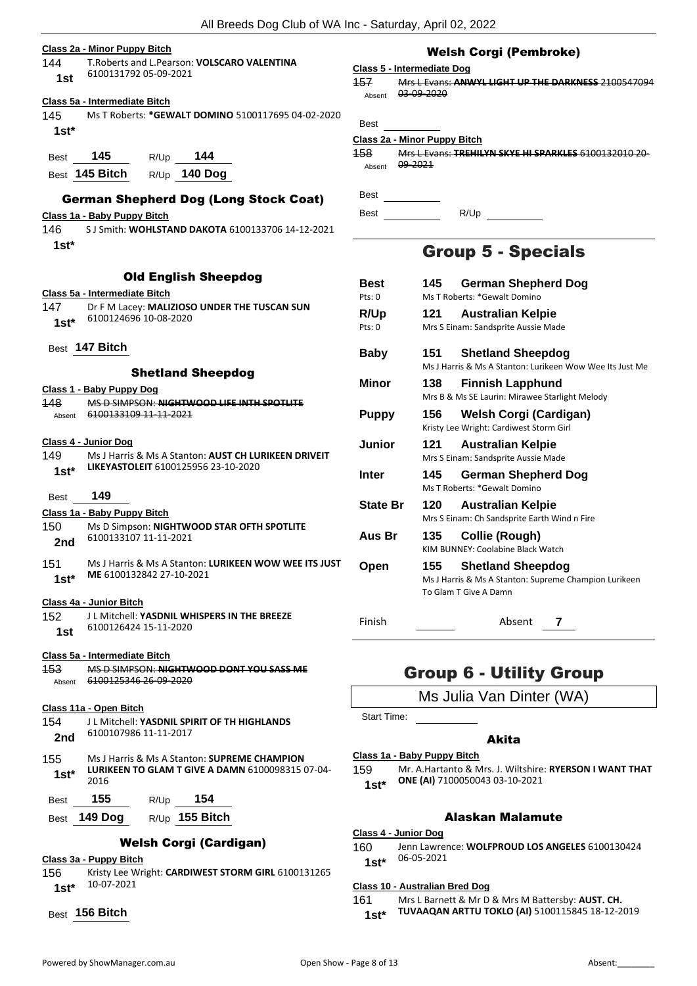## **Class 2a - Minor Puppy Bitch**

144 T.Roberts and L.Pearson: **VOLSCARO VALENTINA** 6100131792 05-09-2021 **1st**

## **Class 5a - Intermediate Bitch**

145 Ms T Roberts: **\*GEWALT DOMINO** 5100117695 04-02-2020 **1st\***

| Best | 145            | R/Up | 144            |  |
|------|----------------|------|----------------|--|
|      | Best 145 Bitch |      | $R/Up$ 140 Dog |  |

## German Shepherd Dog (Long Stock Coat)

### **Class 1a - Baby Puppy Bitch**

146 S J Smith: **WOHLSTAND DAKOTA** 6100133706 14-12-2021 **1st\***

## Old English Sheepdog

#### **Class 5a - Intermediate Bitch**

147 Dr F M Lacey: **MALIZIOSO UNDER THE TUSCAN SUN** 6100124696 10-08-2020 **1st\***

## Best **147 Bitch**

## Shetland Sheepdog

- **Class 1 - Baby Puppy Dog**
- 148 MS D SIMPSON: **NIGHTWOOD LIFE INTH SPOTLITE** Absent 6100133109 11-11-2021

## **Class 4 - Junior Dog**

149 Ms J Harris & Ms A Stanton: **AUST CH LURIKEEN DRIVEIT LIKEYASTOLEIT** 6100125956 23-10-2020 **1st\***

### Best **149**

- **Class 1a - Baby Puppy Bitch**
- 150 Ms D Simpson: **NIGHTWOOD STAR OFTH SPOTLITE** 6100133107 11-11-2021 **2nd**
- 151 Ms J Harris & Ms A Stanton: **LURIKEEN WOW WEE ITS JUST ME** 6100132842 27-10-2021 **1st\***

## **Class 4a - Junior Bitch**

152 J L Mitchell: **YASDNIL WHISPERS IN THE BREEZE** 6100126424 15-11-2020 **1st**

## **Class 5a - Intermediate Bitch**

| 153    | MC D CIMBCONE NICHTWOOD DON'T VOLL CASS ME                |
|--------|-----------------------------------------------------------|
| Absent | 6100125246.26.00.2020<br><del>0100123340 20 03 2020</del> |
|        |                                                           |

## **Class 11a - Open Bitch**

154 J L Mitchell: **YASDNIL SPIRIT OF TH HIGHLANDS** 6100107986 11-11-2017 **2nd** 155 Ms J Harris & Ms A Stanton: **SUPREME CHAMPION LURIKEEN TO GLAM T GIVE A DAMN** 6100098315 07-04- <sup>2016</sup> **1st\*** Best **155** R/Up **154** Best **149 Dog** R/Up **155 Bitch**

## Welsh Corgi (Cardigan)

**Class 3a - Puppy Bitch**

- 156 Kristy Lee Wright: **CARDIWEST STORM GIRL** 6100131265 10-07-2021 **1st\***
- Best **156 Bitch**

## Welsh Corgi (Pembroke)

## **Class 5 - Intermediate Dog**

157 Mrs L Evans: **ANWYL LIGHT UP THE DARKNESS** 2100547094 Absent 03-09-2020

### Best

### **Class 2a - Minor Puppy Bitch**

158 Mrs L Evans: **TREHILYN SKYE HI SPARKLES** 6100132010 20- Absent 09-2021

Best Best R/Up

## Group 5 - Specials

| Best            | 145. | German Shepherd Dog                                      |
|-----------------|------|----------------------------------------------------------|
| Pts: 0          |      | Ms T Roberts: *Gewalt Domino                             |
| <b>R/Up</b>     | 121  | <b>Australian Kelpie</b>                                 |
| Pts: 0          |      | Mrs S Einam: Sandsprite Aussie Made                      |
| Baby            | 151  | <b>Shetland Sheepdog</b>                                 |
|                 |      | Ms J Harris & Ms A Stanton: Lurikeen Wow Wee Its Just Me |
| Minor           | 138. | <b>Finnish Lapphund</b>                                  |
|                 |      | Mrs B & Ms SE Laurin: Mirawee Starlight Melody           |
| Puppy           | 156  | <b>Welsh Corgi (Cardigan)</b>                            |
|                 |      | Kristy Lee Wright: Cardiwest Storm Girl                  |
| Junior          | 121  | <b>Australian Kelpie</b>                                 |
|                 |      | Mrs S Einam: Sandsprite Aussie Made                      |
| Inter           | 145  | German Shepherd Dog                                      |
|                 |      | Ms T Roberts: *Gewalt Domino                             |
| <b>State Br</b> | 120  | <b>Australian Kelpie</b>                                 |
|                 |      | Mrs S Einam: Ch Sandsprite Earth Wind n Fire             |
| Aus Br          | 135. | Collie (Rough)                                           |
|                 |      | KIM BUNNEY: Coolabine Black Watch                        |
| Open            | 155  | <b>Shetland Sheepdog</b>                                 |
|                 |      | Ms J Harris & Ms A Stanton: Supreme Champion Lurikeen    |
|                 |      | To Glam T Give A Damn                                    |
|                 |      |                                                          |

Finish Absent **7**

## Group 6 - Utility Group

Ms Julia Van Dinter (WA)

Start Time:

## Akita

## **Class 1a - Baby Puppy Bitch**

159 Mr. A.Hartanto & Mrs. J. Wiltshire: **RYERSON I WANT THAT ONE (AI)** 7100050043 03-10-2021 **1st\***

## Alaskan Malamute

**Class 4 - Junior Dog**

160 Jenn Lawrence: **WOLFPROUD LOS ANGELES** 6100130424 06-05-2021 **1st\***

#### **Class 10 - Australian Bred Dog**

161 Mrs L Barnett & Mr D & Mrs M Battersby: **AUST. CH. TUVAAQAN ARTTU TOKLO (AI)** 5100115845 18-12-2019 **1st\***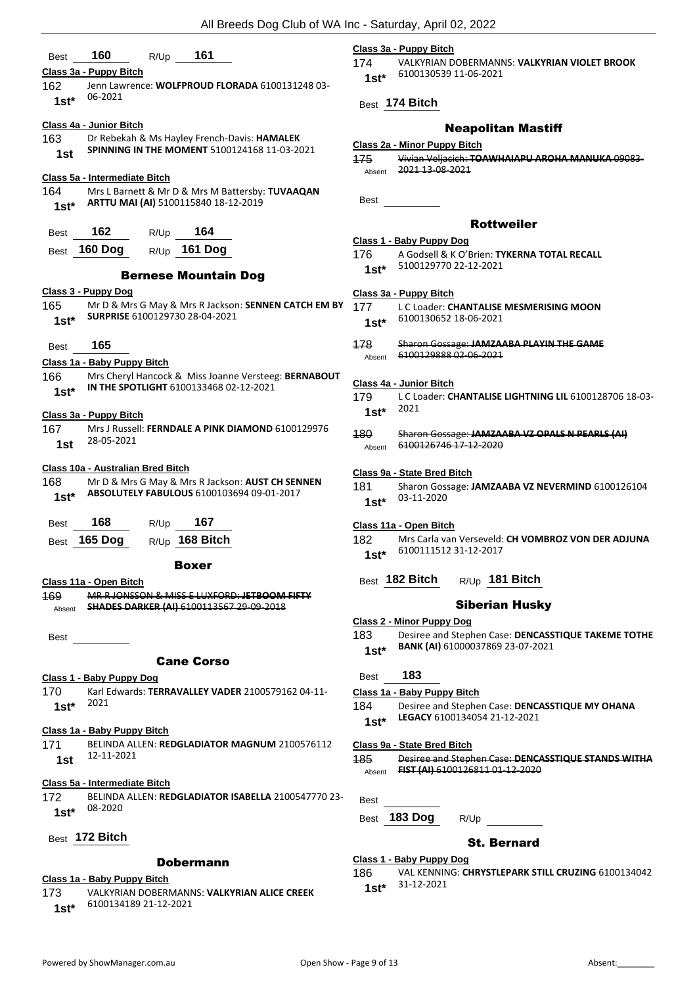|             | 160                               | 161                                                                                                 |               | Class 3a - Puppy Bitch           |                                                                                               |
|-------------|-----------------------------------|-----------------------------------------------------------------------------------------------------|---------------|----------------------------------|-----------------------------------------------------------------------------------------------|
| Best        | R/Up<br>Class 3a - Puppy Bitch    |                                                                                                     | 174           |                                  | VALKYRIAN DOBERMANNS: VALKYRIAN VIOLET BROOK                                                  |
| 162         |                                   | Jenn Lawrence: WOLFPROUD FLORADA 6100131248 03-                                                     | $1st*$        | 6100130539 11-06-2021            |                                                                                               |
| $1st*$      | 06-2021                           |                                                                                                     |               | Best 174 Bitch                   |                                                                                               |
|             |                                   |                                                                                                     |               |                                  |                                                                                               |
|             | Class 4a - Junior Bitch           |                                                                                                     |               |                                  | <b>Neapolitan Mastiff</b>                                                                     |
| 163         |                                   | Dr Rebekah & Ms Hayley French-Davis: HAMALEK<br><b>SPINNING IN THE MOMENT 5100124168 11-03-2021</b> |               | Class 2a - Minor Puppy Bitch     |                                                                                               |
| 1st         |                                   |                                                                                                     | 175           |                                  | Vivian Veljacich: TOAWHAIAPU AROHA MANUKA 09083-                                              |
|             | Class 5a - Intermediate Bitch     |                                                                                                     | Absent        | 2021 13 08 2021                  |                                                                                               |
| 164         |                                   | Mrs L Barnett & Mr D & Mrs M Battersby: TUVAAQAN                                                    | Best          |                                  |                                                                                               |
| $1st*$      |                                   | ARTTU MAI (AI) 5100115840 18-12-2019                                                                |               |                                  |                                                                                               |
| <b>Best</b> | 162<br>R/Up                       | 164                                                                                                 |               |                                  | <b>Rottweiler</b>                                                                             |
|             | 160 Dog                           | R/Up 161 Dog                                                                                        |               | Class 1 - Baby Puppy Dog         |                                                                                               |
| Best        |                                   |                                                                                                     | 176           |                                  | A Godsell & K O'Brien: TYKERNA TOTAL RECALL                                                   |
|             |                                   | <b>Bernese Mountain Dog</b>                                                                         | $1st*$        | 5100129770 22-12-2021            |                                                                                               |
|             | Class 3 - Puppy Dog               |                                                                                                     |               | Class 3a - Puppy Bitch           |                                                                                               |
| 165         |                                   | Mr D & Mrs G May & Mrs R Jackson: SENNEN CATCH EM BY                                                | 177           |                                  | L C Loader: CHANTALISE MESMERISING MOON                                                       |
| $1st^*$     | SURPRISE 6100129730 28-04-2021    |                                                                                                     | $1st*$        | 6100130652 18-06-2021            |                                                                                               |
|             |                                   |                                                                                                     | 178           |                                  |                                                                                               |
| Best        | 165                               |                                                                                                     | Absent        | 6100129888 02-06-2021            | Sharon Gossage: JAMZAABA PLAYIN THE GAME                                                      |
|             | Class 1a - Baby Puppy Bitch       |                                                                                                     |               |                                  |                                                                                               |
| 166         |                                   | Mrs Cheryl Hancock & Miss Joanne Versteeg: BERNABOUT<br>IN THE SPOTLIGHT 6100133468 02-12-2021      |               | Class 4a - Junior Bitch          |                                                                                               |
| $1st*$      |                                   |                                                                                                     | 179           |                                  | L C Loader: CHANTALISE LIGHTNING LIL 6100128706 18-03-                                        |
|             | Class 3a - Puppy Bitch            |                                                                                                     | $1st*$        | 2021                             |                                                                                               |
| 167         |                                   | Mrs J Russell: FERNDALE A PINK DIAMOND 6100129976                                                   | 180           |                                  | Sharon Gossage: JAMZAABA VZ OPALS N PEARLS (AI)                                               |
| 1st         | 28-05-2021                        |                                                                                                     | Absent        | 6100126746 17 12 2020            |                                                                                               |
|             | Class 10a - Australian Bred Bitch |                                                                                                     |               |                                  |                                                                                               |
| 168         |                                   | Mr D & Mrs G May & Mrs R Jackson: AUST CH SENNEN                                                    |               | Class 9a - State Bred Bitch      |                                                                                               |
| $1st*$      |                                   | ABSOLUTELY FABULOUS 6100103694 09-01-2017                                                           | 181<br>$1st*$ | 03-11-2020                       | Sharon Gossage: JAMZAABA VZ NEVERMIND 6100126104                                              |
|             |                                   |                                                                                                     |               |                                  |                                                                                               |
| <b>Best</b> | 168<br>R/Up                       | 167                                                                                                 |               | Class 11a - Open Bitch           |                                                                                               |
| Best        | 165 Dog                           | R/Up 168 Bitch                                                                                      | 182           |                                  | Mrs Carla van Verseveld: CH VOMBROZ VON DER ADJUNA                                            |
|             |                                   |                                                                                                     | $1st*$        | 6100111512 31-12-2017            |                                                                                               |
|             |                                   | Boxer                                                                                               |               | Best 182 Bitch                   | $R/Up$ 181 Bitch                                                                              |
| 169         | Class 11a - Open Bitch            | MR R JONSSON & MISS E LUXFORD: JETBOOM FIFTY                                                        |               |                                  |                                                                                               |
| Absent      |                                   | <b>SHADES DARKER (AI) 6100113567 29-09-2018</b>                                                     |               |                                  | <b>Siberian Husky</b>                                                                         |
|             |                                   |                                                                                                     |               | Class 2 - Minor Puppy Dog        |                                                                                               |
| Best        |                                   |                                                                                                     | 183           |                                  | Desiree and Stephen Case: DENCASSTIQUE TAKEME TOTHE                                           |
|             |                                   | <b>Cane Corso</b>                                                                                   | $1st*$        |                                  | BANK (AI) 61000037869 23-07-2021                                                              |
|             |                                   |                                                                                                     | Best          | 183                              |                                                                                               |
| 170         | Class 1 - Baby Puppy Dog          | Karl Edwards: TERRAVALLEY VADER 2100579162 04-11-                                                   |               | Class 1a - Baby Puppy Bitch      |                                                                                               |
| $1st*$      | 2021                              |                                                                                                     | 184           |                                  | Desiree and Stephen Case: DENCASSTIQUE MY OHANA                                               |
|             |                                   |                                                                                                     | $1st^*$       |                                  | LEGACY 6100134054 21-12-2021                                                                  |
|             | Class 1a - Baby Puppy Bitch       |                                                                                                     |               |                                  |                                                                                               |
| 171         | 12-11-2021                        | BELINDA ALLEN: REDGLADIATOR MAGNUM 2100576112                                                       |               | Class 9a - State Bred Bitch      |                                                                                               |
| 1st         |                                   |                                                                                                     | 185           |                                  | Desiree and Stephen Case: DENCASSTIQUE STANDS WITHA<br>Absent FIST (AI) 6100126811 01-12-2020 |
|             | Class 5a - Intermediate Bitch     |                                                                                                     |               |                                  |                                                                                               |
| 172         |                                   | BELINDA ALLEN: REDGLADIATOR ISABELLA 2100547770 23-                                                 | Best          |                                  |                                                                                               |
| $1st*$      | 08-2020                           |                                                                                                     |               | Best 183 Dog                     |                                                                                               |
|             |                                   |                                                                                                     |               |                                  |                                                                                               |
|             | Best 172 Bitch                    |                                                                                                     |               |                                  | <b>St. Bernard</b>                                                                            |
|             |                                   | <b>Dobermann</b>                                                                                    |               | <u> Class 1 - Baby Puppy Dog</u> |                                                                                               |
|             | Class 1a - Baby Puppy Bitch       |                                                                                                     | 186           |                                  | VAL KENNING: CHRYSTLEPARK STILL CRUZING 6100134042                                            |
| 173         |                                   | <b>VALKYRIAN DOBERMANNS: VALKYRIAN ALICE CREEK</b>                                                  | $1st*$        | 31-12-2021                       |                                                                                               |
| $1st*$      | 6100134189 21-12-2021             |                                                                                                     |               |                                  |                                                                                               |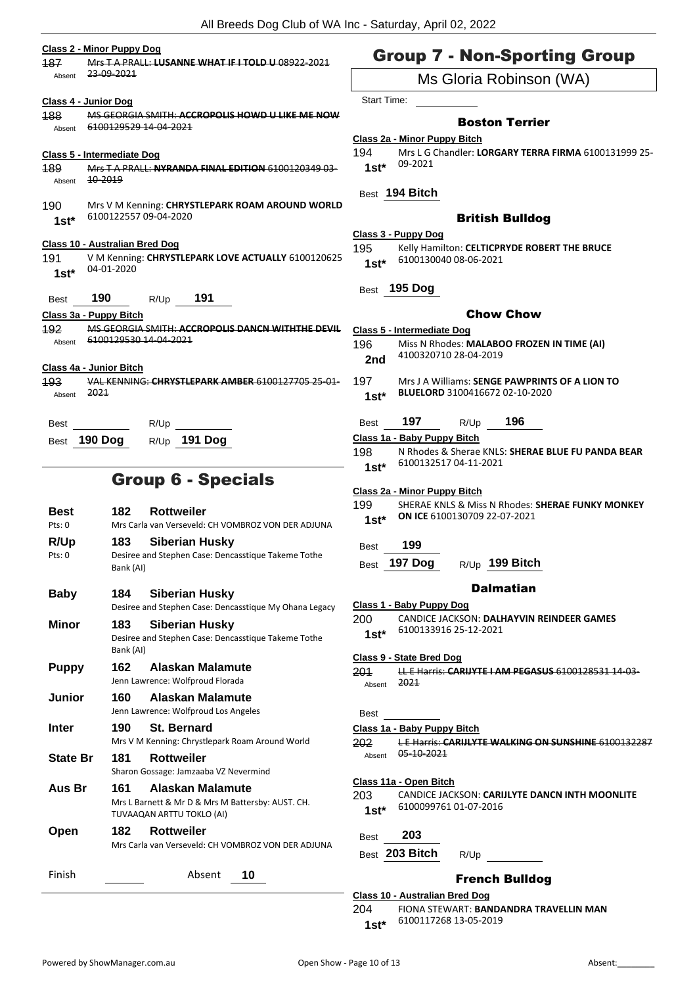## **Class 2 - Minor Puppy Dog**

- 187 Mrs T A PRALL: **LUSANNE WHAT IF I TOLD U** 08922-2021 Absent 23-09-2021
- **Class 4 - Junior Dog** 188 MS GEORGIA SMITH: **ACCROPOLIS HOWD U LIKE ME NOW** Absent 6100129529 14-04-2021 **Class 5 - Intermediate Dog** 189 Mrs T A PRALL: **NYRANDA FINAL EDITION** 6100120349 03- Absent 10-2019 190 Mrs V M Kenning: **CHRYSTLEPARK ROAM AROUND WORLD** 6100122557 09-04-2020 **1st\* Class 10 - Australian Bred Dog** 191 V M Kenning: **CHRYSTLEPARK LOVE ACTUALLY** 6100120625 04-01-2020 **1st\*** Best **190** R/Up **191 Class 3a - Puppy Bitch** 192 MS GEORGIA SMITH: **ACCROPOLIS DANCN WITHTHE DEVIL** Absent 6100129530 14-04-2021 **Class 4a - Junior Bitch** 193 VAL KENNING: **CHRYSTLEPARK AMBER** 6100127705 25-01- Absent 2021

| Best |              | R/Up |              |
|------|--------------|------|--------------|
|      | Best 190 Dog |      | R/Up 191 Dog |

## Group 6 - Specials

**Best 182 Rottweiler** Pts: 0 Mrs Carla van Verseveld: CH VOMBROZ VON DER ADJUNA **R/Up 183 Siberian Husky** Pts: 0 Desiree and Stephen Case: Dencasstique Takeme Tothe Bank (AI) **Baby 184 Siberian Husky** Desiree and Stephen Case: Dencasstique My Ohana Legacy **Minor 183 Siberian Husky** Desiree and Stephen Case: Dencasstique Takeme Tothe Bank (AI) **Puppy 162 Alaskan Malamute** Jenn Lawrence: Wolfproud Florada **Junior 160 Alaskan Malamute** Jenn Lawrence: Wolfproud Los Angeles **Inter 190 St. Bernard** Mrs V M Kenning: Chrystlepark Roam Around World **State Br 181 Rottweiler** Sharon Gossage: Jamzaaba VZ Nevermind **Aus Br 161 Alaskan Malamute** Mrs L Barnett & Mr D & Mrs M Battersby: AUST. CH. TUVAAQAN ARTTU TOKLO (AI) **Open 182 Rottweiler** Mrs Carla van Verseveld: CH VOMBROZ VON DER ADJUNA Finish Absent **10**

## Group 7 - Non-Sporting Group

Ms Gloria Robinson (WA)

Start Time:

## Boston Terrier

### **Class 2a - Minor Puppy Bitch**

194 Mrs L G Chandler: **LORGARY TERRA FIRMA** 6100131999 25- 09-2021 **1st\***

Best **194 Bitch**

## British Bulldog

## **Class 3 - Puppy Dog**

195 Kelly Hamilton: **CELTICPRYDE ROBERT THE BRUCE** 6100130040 08-06-2021 **1st\***

## Best **195 Dog**

## Chow Chow

- **Class 5 - Intermediate Dog** 196 Miss N Rhodes: **MALABOO FROZEN IN TIME (AI)** 4100320710 28-04-2019 **2nd** 197 Mrs J A Williams: **SENGE PAWPRINTS OF A LION TO BLUELORD** 3100416672 02-10-2020 **1st\***
- Best **197** R/Up **196**

## **Class 1a - Baby Puppy Bitch**

198 N Rhodes & Sherae KNLS: **SHERAE BLUE FU PANDA BEAR** 6100132517 04-11-2021 **1st\***

## **Class 2a - Minor Puppy Bitch**

- 199 SHERAE KNLS & Miss N Rhodes: **SHERAE FUNKY MONKEY ON ICE** 6100130709 22-07-2021 **1st\***
- Best **199**
- Best **197 Dog** R/Up **199 Bitch**

#### **Dalmatian**

- **Class 1 - Baby Puppy Dog** 200 CANDICE JACKSON: **DALHAYVIN REINDEER GAMES**
- 6100133916 25-12-2021 **1st\***

## **Class 9 - State Bred Dog**

201 LL E Harris: **CARIJYTE I AM PEGASUS** 6100128531 14-03- Absent 2021

## Best

## **Class 1a - Baby Puppy Bitch**

202 L E Harris: **CARIJLYTE WALKING ON SUNSHINE** 6100132287 Absent 05-10-2021

#### **Class 11a - Open Bitch**

- 203 CANDICE JACKSON: **CARIJLYTE DANCN INTH MOONLITE** 6100099761 01-07-2016 **1st\***
- Best **203**
- Best **203 Bitch** R/Up

## French Bulldog

**Class 10 - Australian Bred Dog** 204 FIONA STEWART: **BANDANDRA TRAVELLIN MAN** 6100117268 13-05-2019 **1st\***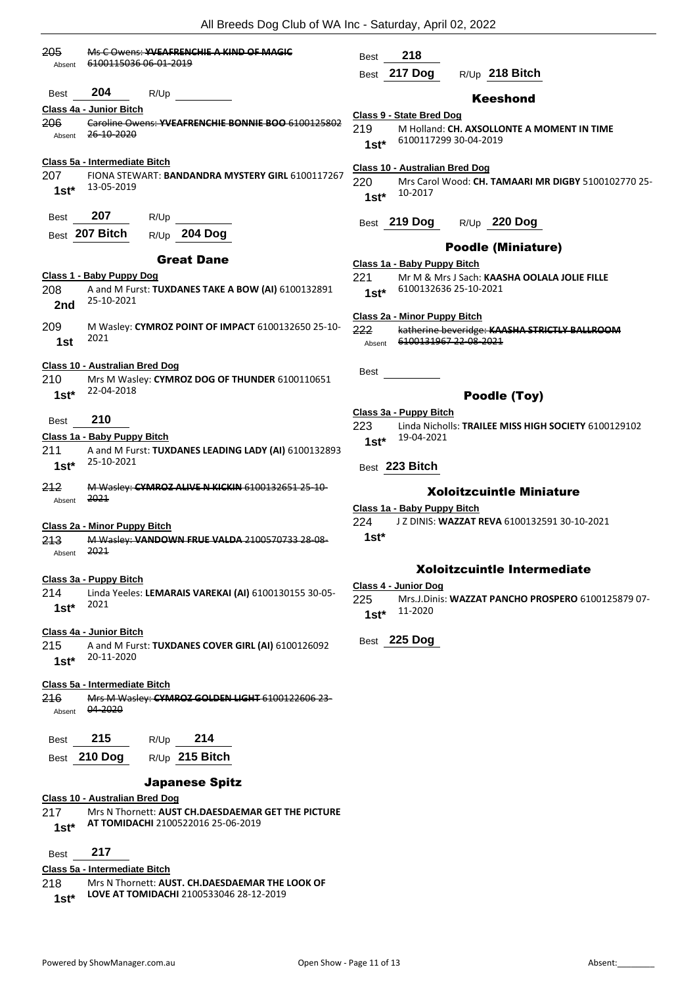| 205           | Ms C Owens: YVEAFRENCHIE A KIND OF MAGIC                                                 | 218<br><b>Best</b>                                                                   |
|---------------|------------------------------------------------------------------------------------------|--------------------------------------------------------------------------------------|
| Absent        | 6100115036 06 01 2019                                                                    | Best 217 Dog<br>R/Up 218 Bitch                                                       |
|               |                                                                                          |                                                                                      |
| <b>Best</b>   | 204<br>R/Up                                                                              | <b>Keeshond</b>                                                                      |
|               | Class 4a - Junior Bitch                                                                  | Class 9 - State Bred Dog                                                             |
| 206<br>Absent | Caroline Owens: YVEAFRENCHIE BONNIE BOO 6100125802<br>26-10-2020                         | 219<br>M Holland: CH. AXSOLLONTE A MOMENT IN TIME<br>6100117299 30-04-2019<br>$1st*$ |
|               | Class 5a - Intermediate Bitch                                                            | <b>Class 10 - Australian Bred Dog</b>                                                |
| 207           | FIONA STEWART: BANDANDRA MYSTERY GIRL 6100117267                                         | 220<br>Mrs Carol Wood: CH. TAMAARI MR DIGBY 5100102770 25-                           |
| $1st*$        | 13-05-2019                                                                               | 10-2017<br>$1st*$                                                                    |
| <b>Best</b>   | 207<br>R/Up                                                                              |                                                                                      |
|               | Best 207 Bitch<br>R/Up 204 Dog                                                           | Best 219 Dog<br>$R/Up$ 220 Dog                                                       |
|               |                                                                                          | <b>Poodle (Miniature)</b>                                                            |
|               | <b>Great Dane</b>                                                                        | Class 1a - Baby Puppy Bitch                                                          |
|               | Class 1 - Baby Puppy Dog                                                                 | Mr M & Mrs J Sach: KAASHA OOLALA JOLIE FILLE<br>221                                  |
| 208<br>2nd    | A and M Furst: TUXDANES TAKE A BOW (AI) 6100132891<br>25-10-2021                         | 6100132636 25-10-2021<br>$1st*$                                                      |
| 209           | M Wasley: CYMROZ POINT OF IMPACT 6100132650 25-10-                                       | Class 2a - Minor Puppy Bitch<br>222<br>katherine beveridge: KAASHA STRICTLY BALLROOM |
| 1st           | 2021                                                                                     | 6100131967 22-08-2021<br>Absent                                                      |
|               | Class 10 - Australian Bred Dog                                                           |                                                                                      |
| 210           | Mrs M Wasley: CYMROZ DOG OF THUNDER 6100110651                                           | Best                                                                                 |
| $1st*$        | 22-04-2018                                                                               | Poodle (Toy)                                                                         |
|               |                                                                                          | Class 3a - Puppy Bitch                                                               |
| <b>Best</b>   | 210                                                                                      | 223<br>Linda Nicholls: TRAILEE MISS HIGH SOCIETY 6100129102                          |
|               | Class 1a - Baby Puppy Bitch                                                              | 19-04-2021<br>$1st*$                                                                 |
| 211           | A and M Furst: TUXDANES LEADING LADY (AI) 6100132893<br>25-10-2021                       |                                                                                      |
| $1st^*$       |                                                                                          | Best 223 Bitch                                                                       |
| 212           | M Wasley: CYMROZ ALIVE N KICKIN 6100132651 25 10-                                        | <b>Xoloitzcuintle Miniature</b>                                                      |
| Absent        | 2021                                                                                     | Class 1a - Baby Puppy Bitch                                                          |
|               | Class 2a - Minor Puppy Bitch                                                             | 224<br>J Z DINIS: WAZZAT REVA 6100132591 30-10-2021                                  |
| 213           | M Wasley: VANDOWN FRUE VALDA 2100570733 28-08-                                           | $1st*$                                                                               |
| Absent        | 2021                                                                                     |                                                                                      |
|               | Class 3a - Puppy Bitch                                                                   | Xoloitzcuintle Intermediate                                                          |
| 214           | Linda Yeeles: LEMARAIS VAREKAI (AI) 6100130155 30-05-                                    | Class 4 - Junior Dog                                                                 |
| $1st^*$       | 2021                                                                                     | 225<br>Mrs.J.Dinis: WAZZAT PANCHO PROSPERO 6100125879 07-<br>11-2020<br>$1st*$       |
|               | Class 4a - Junior Bitch                                                                  | Best 225 Dog                                                                         |
| 215<br>$1st*$ | A and M Furst: TUXDANES COVER GIRL (AI) 6100126092<br>20-11-2020                         |                                                                                      |
|               | Class 5a - Intermediate Bitch                                                            |                                                                                      |
| 216           | Mrs M Wasley: CYMROZ GOLDEN LIGHT 6100122606 23-                                         |                                                                                      |
| Absent        | 04-2020                                                                                  |                                                                                      |
| <b>Best</b>   | 215<br>214<br>R/Up                                                                       |                                                                                      |
|               | Best 210 Dog<br>R/Up 215 Bitch                                                           |                                                                                      |
|               | <b>Japanese Spitz</b>                                                                    |                                                                                      |
|               | <b>Class 10 - Australian Bred Dog</b>                                                    |                                                                                      |
| 217<br>$1st*$ | Mrs N Thornett: AUST CH.DAESDAEMAR GET THE PICTURE<br>AT TOMIDACHI 2100522016 25-06-2019 |                                                                                      |
| <b>Best</b>   | 217                                                                                      |                                                                                      |
|               | Class 5a - Intermediate Bitch                                                            |                                                                                      |
|               |                                                                                          |                                                                                      |

218 Mrs N Thornett: **AUST. CH.DAESDAEMAR THE LOOK OF** 

**LOVE AT TOMIDACHI** 2100533046 28-12-2019 **1st\***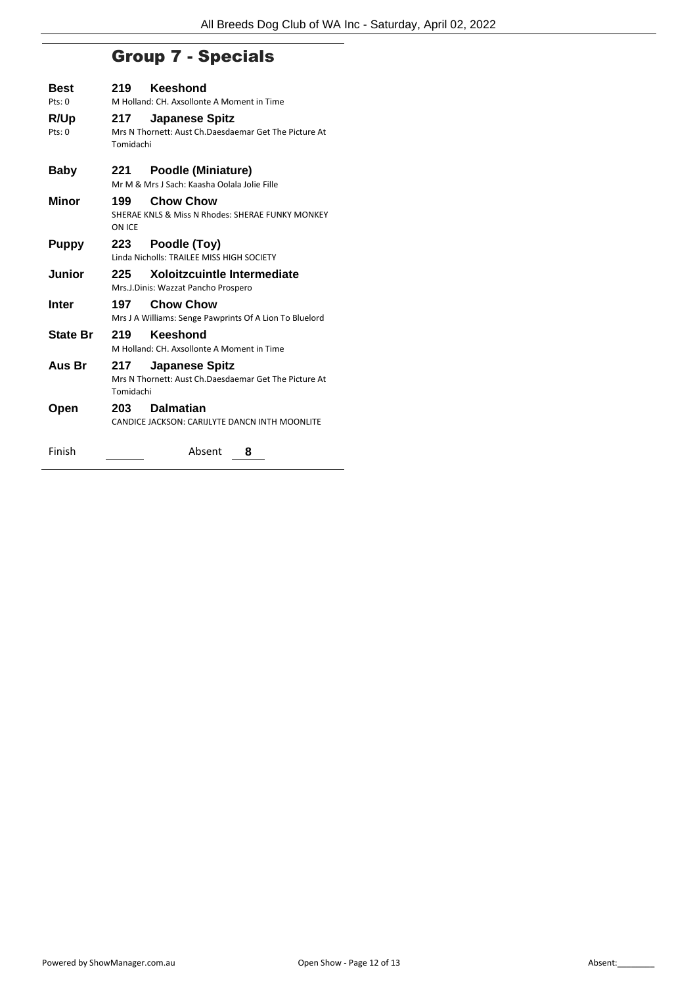## Group 7 - Specials

| <b>Best</b>     |                  | 219 Keeshond                                                                   |
|-----------------|------------------|--------------------------------------------------------------------------------|
| Pts: 0          |                  | M Holland: CH. Axsollonte A Moment in Time                                     |
| R/Up<br>Pts: 0  | 217<br>Tomidachi | <b>Japanese Spitz</b><br>Mrs N Thornett: Aust Ch.Daesdaemar Get The Picture At |
| Baby            |                  | 221 Poodle (Miniature)<br>Mr M & Mrs J Sach: Kaasha Oolala Jolie Fille         |
| Minor           | 199<br>ON ICE    | <b>Chow Chow</b><br>SHERAE KNLS & Miss N Rhodes: SHERAE FUNKY MONKEY           |
| <b>Puppy</b>    | 223              | Poodle (Toy)<br>Linda Nicholls: TRAILEE MISS HIGH SOCIETY                      |
| Junior          |                  | 225 Xoloitzcuintle Intermediate<br>Mrs.J.Dinis: Wazzat Pancho Prospero         |
| <b>Inter</b>    | 197              | <b>Chow Chow</b><br>Mrs J A Williams: Senge Pawprints Of A Lion To Bluelord    |
| <b>State Br</b> | 219              | Keeshond<br>M Holland: CH. Axsollonte A Moment in Time                         |
| Aus Br          | 217<br>Tomidachi | <b>Japanese Spitz</b><br>Mrs N Thornett: Aust Ch.Daesdaemar Get The Picture At |
| Open            |                  | 203 Dalmatian<br>CANDICE JACKSON: CARLILYTE DANCN INTH MOONLITE                |
| Finish          |                  | Absent<br>8                                                                    |